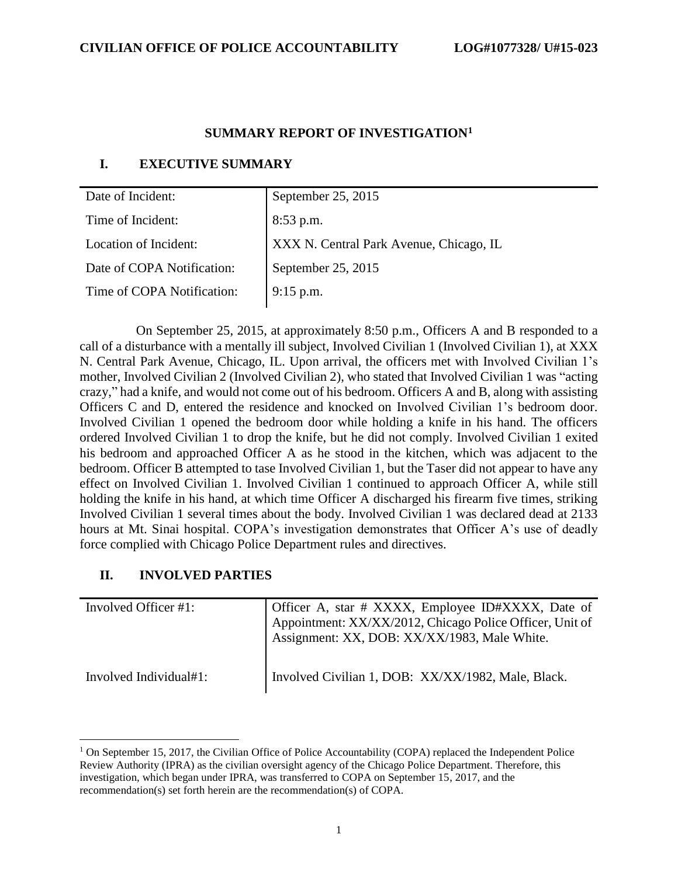#### **SUMMARY REPORT OF INVESTIGATION<sup>1</sup>**

## **I. EXECUTIVE SUMMARY**

| Date of Incident:          | September 25, 2015                      |
|----------------------------|-----------------------------------------|
| Time of Incident:          | $8:53$ p.m.                             |
| Location of Incident:      | XXX N. Central Park Avenue, Chicago, IL |
| Date of COPA Notification: | September 25, 2015                      |
| Time of COPA Notification: | 9:15 p.m.                               |
|                            |                                         |

 On September 25, 2015, at approximately 8:50 p.m., Officers A and B responded to a call of a disturbance with a mentally ill subject, Involved Civilian 1 (Involved Civilian 1), at XXX N. Central Park Avenue, Chicago, IL. Upon arrival, the officers met with Involved Civilian 1's mother, Involved Civilian 2 (Involved Civilian 2), who stated that Involved Civilian 1 was "acting crazy," had a knife, and would not come out of his bedroom. Officers A and B, along with assisting Officers C and D, entered the residence and knocked on Involved Civilian 1's bedroom door. Involved Civilian 1 opened the bedroom door while holding a knife in his hand. The officers ordered Involved Civilian 1 to drop the knife, but he did not comply. Involved Civilian 1 exited his bedroom and approached Officer A as he stood in the kitchen, which was adjacent to the bedroom. Officer B attempted to tase Involved Civilian 1, but the Taser did not appear to have any effect on Involved Civilian 1. Involved Civilian 1 continued to approach Officer A, while still holding the knife in his hand, at which time Officer A discharged his firearm five times, striking Involved Civilian 1 several times about the body. Involved Civilian 1 was declared dead at 2133 hours at Mt. Sinai hospital. COPA's investigation demonstrates that Officer A's use of deadly force complied with Chicago Police Department rules and directives.

## **II. INVOLVED PARTIES**

| Involved Officer #1:   | Officer A, star # XXXX, Employee ID#XXXX, Date of Appointment: XX/XX/2012, Chicago Police Officer, Unit of Assignment: XX, DOB: XX/XX/1983, Male White. |
|------------------------|---------------------------------------------------------------------------------------------------------------------------------------------------------|
| Involved Individual#1: | Involved Civilian 1, DOB: XX/XX/1982, Male, Black.                                                                                                      |

 $1$  On September 15, 2017, the Civilian Office of Police Accountability (COPA) replaced the Independent Police Review Authority (IPRA) as the civilian oversight agency of the Chicago Police Department. Therefore, this investigation, which began under IPRA, was transferred to COPA on September 15, 2017, and the recommendation(s) set forth herein are the recommendation(s) of COPA.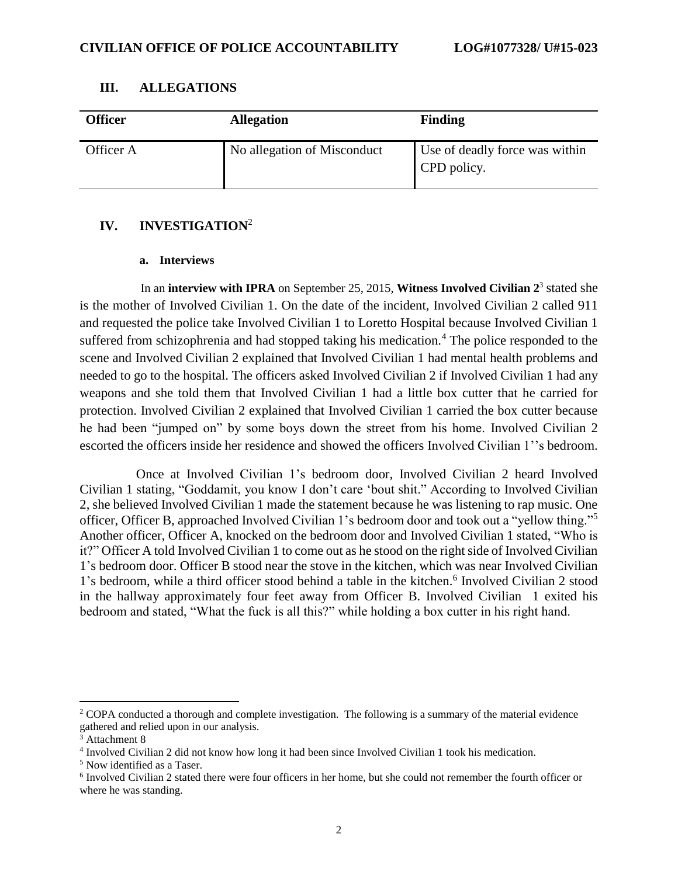| <b>Officer</b> | <b>Allegation</b>           | <b>Finding</b>                                |
|----------------|-----------------------------|-----------------------------------------------|
| Officer A      | No allegation of Misconduct | Use of deadly force was within<br>CPD policy. |

#### **III. ALLEGATIONS**

## **IV. INVESTIGATION**<sup>2</sup>

#### **a. Interviews**

In an **interview with IPRA** on September 25, 2015, **Witness Involved Civilian 2**<sup>3</sup> stated she is the mother of Involved Civilian 1. On the date of the incident, Involved Civilian 2 called 911 and requested the police take Involved Civilian 1 to Loretto Hospital because Involved Civilian 1 suffered from schizophrenia and had stopped taking his medication.<sup>4</sup> The police responded to the scene and Involved Civilian 2 explained that Involved Civilian 1 had mental health problems and needed to go to the hospital. The officers asked Involved Civilian 2 if Involved Civilian 1 had any weapons and she told them that Involved Civilian 1 had a little box cutter that he carried for protection. Involved Civilian 2 explained that Involved Civilian 1 carried the box cutter because he had been "jumped on" by some boys down the street from his home. Involved Civilian 2 escorted the officers inside her residence and showed the officers Involved Civilian 1''s bedroom.

 Once at Involved Civilian 1's bedroom door, Involved Civilian 2 heard Involved Civilian 1 stating, "Goddamit, you know I don't care 'bout shit." According to Involved Civilian 2, she believed Involved Civilian 1 made the statement because he was listening to rap music. One officer, Officer B, approached Involved Civilian 1's bedroom door and took out a "yellow thing."<sup>5</sup> Another officer, Officer A, knocked on the bedroom door and Involved Civilian 1 stated, "Who is it?" Officer A told Involved Civilian 1 to come out as he stood on the right side of Involved Civilian 1's bedroom door. Officer B stood near the stove in the kitchen, which was near Involved Civilian 1's bedroom, while a third officer stood behind a table in the kitchen.<sup>6</sup> Involved Civilian 2 stood in the hallway approximately four feet away from Officer B. Involved Civilian 1 exited his bedroom and stated, "What the fuck is all this?" while holding a box cutter in his right hand.

<sup>&</sup>lt;sup>2</sup> COPA conducted a thorough and complete investigation. The following is a summary of the material evidence gathered and relied upon in our analysis.

<sup>3</sup> Attachment 8

<sup>4</sup> Involved Civilian 2 did not know how long it had been since Involved Civilian 1 took his medication.

<sup>5</sup> Now identified as a Taser.

<sup>&</sup>lt;sup>6</sup> Involved Civilian 2 stated there were four officers in her home, but she could not remember the fourth officer or where he was standing.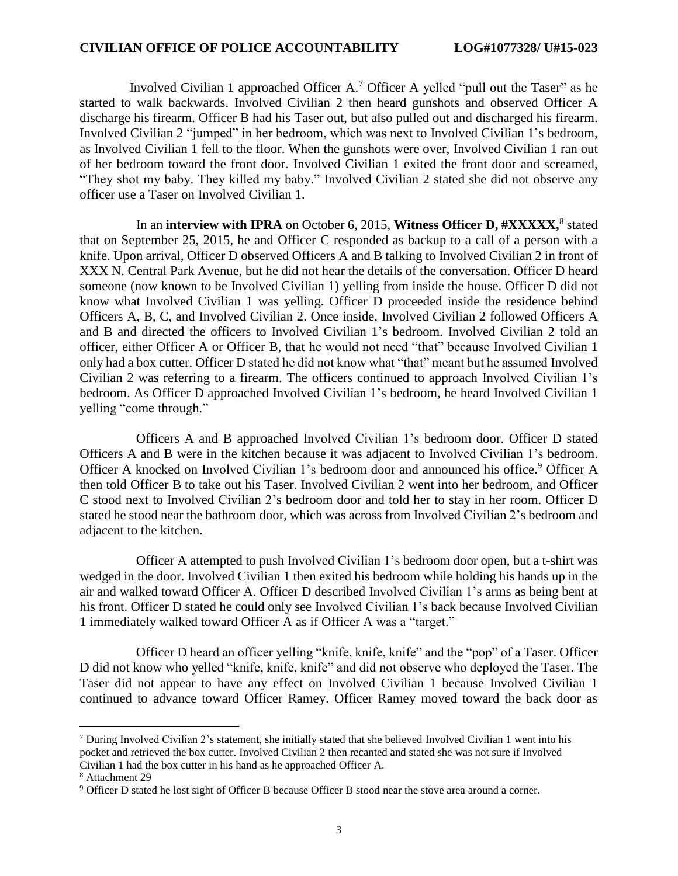Involved Civilian 1 approached Officer A. <sup>7</sup> Officer A yelled "pull out the Taser" as he started to walk backwards. Involved Civilian 2 then heard gunshots and observed Officer A discharge his firearm. Officer B had his Taser out, but also pulled out and discharged his firearm. Involved Civilian 2 "jumped" in her bedroom, which was next to Involved Civilian 1's bedroom, as Involved Civilian 1 fell to the floor. When the gunshots were over, Involved Civilian 1 ran out of her bedroom toward the front door. Involved Civilian 1 exited the front door and screamed, "They shot my baby. They killed my baby." Involved Civilian 2 stated she did not observe any officer use a Taser on Involved Civilian 1.

In an **interview with IPRA** on October 6, 2015, **Witness Officer D, #XXXXX**,<sup>8</sup> stated that on September 25, 2015, he and Officer C responded as backup to a call of a person with a knife. Upon arrival, Officer D observed Officers A and B talking to Involved Civilian 2 in front of XXX N. Central Park Avenue, but he did not hear the details of the conversation. Officer D heard someone (now known to be Involved Civilian 1) yelling from inside the house. Officer D did not know what Involved Civilian 1 was yelling. Officer D proceeded inside the residence behind Officers A, B, C, and Involved Civilian 2. Once inside, Involved Civilian 2 followed Officers A and B and directed the officers to Involved Civilian 1's bedroom. Involved Civilian 2 told an officer, either Officer A or Officer B, that he would not need "that" because Involved Civilian 1 only had a box cutter. Officer D stated he did not know what "that" meant but he assumed Involved Civilian 2 was referring to a firearm. The officers continued to approach Involved Civilian 1's bedroom. As Officer D approached Involved Civilian 1's bedroom, he heard Involved Civilian 1 yelling "come through."

 Officers A and B approached Involved Civilian 1's bedroom door. Officer D stated Officers A and B were in the kitchen because it was adjacent to Involved Civilian 1's bedroom. Officer A knocked on Involved Civilian 1's bedroom door and announced his office.<sup>9</sup> Officer A then told Officer B to take out his Taser. Involved Civilian 2 went into her bedroom, and Officer C stood next to Involved Civilian 2's bedroom door and told her to stay in her room. Officer D stated he stood near the bathroom door, which was across from Involved Civilian 2's bedroom and adjacent to the kitchen.

 Officer A attempted to push Involved Civilian 1's bedroom door open, but a t-shirt was wedged in the door. Involved Civilian 1 then exited his bedroom while holding his hands up in the air and walked toward Officer A. Officer D described Involved Civilian 1's arms as being bent at his front. Officer D stated he could only see Involved Civilian 1's back because Involved Civilian 1 immediately walked toward Officer A as if Officer A was a "target."

 Officer D heard an officer yelling "knife, knife, knife" and the "pop" of a Taser. Officer D did not know who yelled "knife, knife, knife" and did not observe who deployed the Taser. The Taser did not appear to have any effect on Involved Civilian 1 because Involved Civilian 1 continued to advance toward Officer Ramey. Officer Ramey moved toward the back door as

l

<sup>7</sup> During Involved Civilian 2's statement, she initially stated that she believed Involved Civilian 1 went into his pocket and retrieved the box cutter. Involved Civilian 2 then recanted and stated she was not sure if Involved Civilian 1 had the box cutter in his hand as he approached Officer A.

<sup>8</sup> Attachment 29

<sup>9</sup> Officer D stated he lost sight of Officer B because Officer B stood near the stove area around a corner.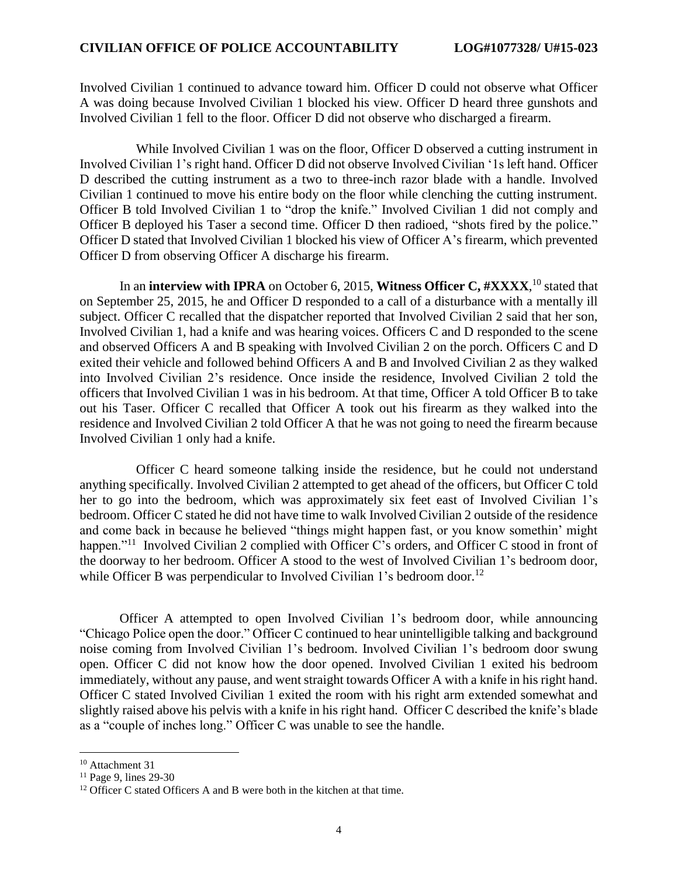Involved Civilian 1 continued to advance toward him. Officer D could not observe what Officer A was doing because Involved Civilian 1 blocked his view. Officer D heard three gunshots and Involved Civilian 1 fell to the floor. Officer D did not observe who discharged a firearm.

 While Involved Civilian 1 was on the floor, Officer D observed a cutting instrument in Involved Civilian 1's right hand. Officer D did not observe Involved Civilian '1s left hand. Officer D described the cutting instrument as a two to three-inch razor blade with a handle. Involved Civilian 1 continued to move his entire body on the floor while clenching the cutting instrument. Officer B told Involved Civilian 1 to "drop the knife." Involved Civilian 1 did not comply and Officer B deployed his Taser a second time. Officer D then radioed, "shots fired by the police." Officer D stated that Involved Civilian 1 blocked his view of Officer A's firearm, which prevented Officer D from observing Officer A discharge his firearm.

In an **interview with IPRA** on October 6, 2015, **Witness Officer C, #XXXX**, <sup>10</sup> stated that on September 25, 2015, he and Officer D responded to a call of a disturbance with a mentally ill subject. Officer C recalled that the dispatcher reported that Involved Civilian 2 said that her son, Involved Civilian 1, had a knife and was hearing voices. Officers C and D responded to the scene and observed Officers A and B speaking with Involved Civilian 2 on the porch. Officers C and D exited their vehicle and followed behind Officers A and B and Involved Civilian 2 as they walked into Involved Civilian 2's residence. Once inside the residence, Involved Civilian 2 told the officers that Involved Civilian 1 was in his bedroom. At that time, Officer A told Officer B to take out his Taser. Officer C recalled that Officer A took out his firearm as they walked into the residence and Involved Civilian 2 told Officer A that he was not going to need the firearm because Involved Civilian 1 only had a knife.

 Officer C heard someone talking inside the residence, but he could not understand anything specifically. Involved Civilian 2 attempted to get ahead of the officers, but Officer C told her to go into the bedroom, which was approximately six feet east of Involved Civilian 1's bedroom. Officer C stated he did not have time to walk Involved Civilian 2 outside of the residence and come back in because he believed "things might happen fast, or you know somethin' might happen."<sup>11</sup> Involved Civilian 2 complied with Officer C's orders, and Officer C stood in front of the doorway to her bedroom. Officer A stood to the west of Involved Civilian 1's bedroom door, while Officer B was perpendicular to Involved Civilian 1's bedroom door.<sup>12</sup>

Officer A attempted to open Involved Civilian 1's bedroom door, while announcing "Chicago Police open the door." Officer C continued to hear unintelligible talking and background noise coming from Involved Civilian 1's bedroom. Involved Civilian 1's bedroom door swung open. Officer C did not know how the door opened. Involved Civilian 1 exited his bedroom immediately, without any pause, and went straight towards Officer A with a knife in his right hand. Officer C stated Involved Civilian 1 exited the room with his right arm extended somewhat and slightly raised above his pelvis with a knife in his right hand. Officer C described the knife's blade as a "couple of inches long." Officer C was unable to see the handle.

<sup>10</sup> Attachment 31

<sup>&</sup>lt;sup>11</sup> Page 9, lines 29-30

 $12$  Officer C stated Officers A and B were both in the kitchen at that time.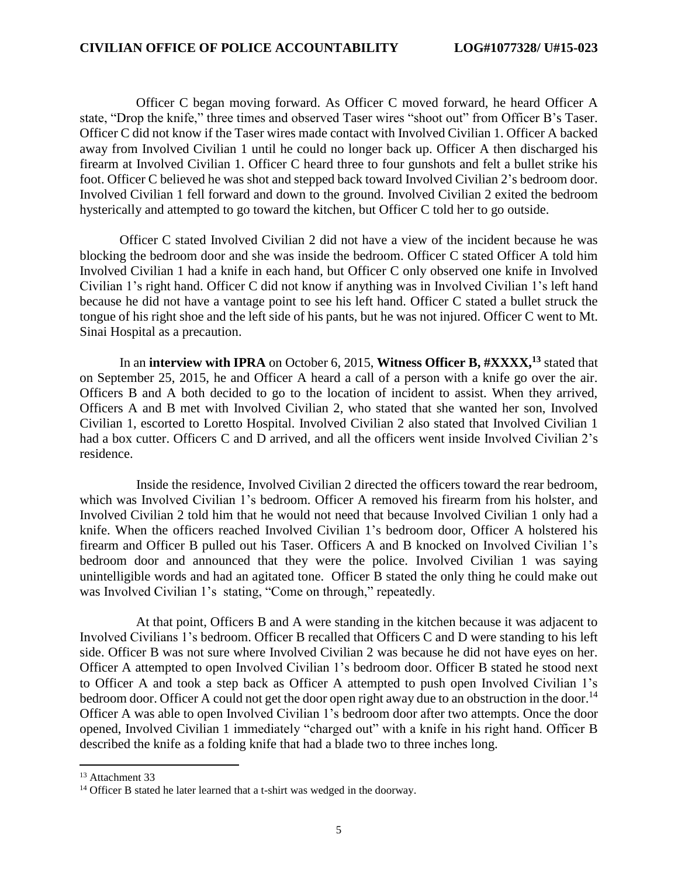Officer C began moving forward. As Officer C moved forward, he heard Officer A state, "Drop the knife," three times and observed Taser wires "shoot out" from Officer B's Taser. Officer C did not know if the Taser wires made contact with Involved Civilian 1. Officer A backed away from Involved Civilian 1 until he could no longer back up. Officer A then discharged his firearm at Involved Civilian 1. Officer C heard three to four gunshots and felt a bullet strike his foot. Officer C believed he was shot and stepped back toward Involved Civilian 2's bedroom door. Involved Civilian 1 fell forward and down to the ground. Involved Civilian 2 exited the bedroom hysterically and attempted to go toward the kitchen, but Officer C told her to go outside.

Officer C stated Involved Civilian 2 did not have a view of the incident because he was blocking the bedroom door and she was inside the bedroom. Officer C stated Officer A told him Involved Civilian 1 had a knife in each hand, but Officer C only observed one knife in Involved Civilian 1's right hand. Officer C did not know if anything was in Involved Civilian 1's left hand because he did not have a vantage point to see his left hand. Officer C stated a bullet struck the tongue of his right shoe and the left side of his pants, but he was not injured. Officer C went to Mt. Sinai Hospital as a precaution.

In an **interview with IPRA** on October 6, 2015, **Witness Officer B, #XXXX, <sup>13</sup>** stated that on September 25, 2015, he and Officer A heard a call of a person with a knife go over the air. Officers B and A both decided to go to the location of incident to assist. When they arrived, Officers A and B met with Involved Civilian 2, who stated that she wanted her son, Involved Civilian 1, escorted to Loretto Hospital. Involved Civilian 2 also stated that Involved Civilian 1 had a box cutter. Officers C and D arrived, and all the officers went inside Involved Civilian 2's residence.

 Inside the residence, Involved Civilian 2 directed the officers toward the rear bedroom, which was Involved Civilian 1's bedroom. Officer A removed his firearm from his holster, and Involved Civilian 2 told him that he would not need that because Involved Civilian 1 only had a knife. When the officers reached Involved Civilian 1's bedroom door, Officer A holstered his firearm and Officer B pulled out his Taser. Officers A and B knocked on Involved Civilian 1's bedroom door and announced that they were the police. Involved Civilian 1 was saying unintelligible words and had an agitated tone. Officer B stated the only thing he could make out was Involved Civilian 1's stating, "Come on through," repeatedly.

 At that point, Officers B and A were standing in the kitchen because it was adjacent to Involved Civilians 1's bedroom. Officer B recalled that Officers C and D were standing to his left side. Officer B was not sure where Involved Civilian 2 was because he did not have eyes on her. Officer A attempted to open Involved Civilian 1's bedroom door. Officer B stated he stood next to Officer A and took a step back as Officer A attempted to push open Involved Civilian 1's bedroom door. Officer A could not get the door open right away due to an obstruction in the door.<sup>14</sup> Officer A was able to open Involved Civilian 1's bedroom door after two attempts. Once the door opened, Involved Civilian 1 immediately "charged out" with a knife in his right hand. Officer B described the knife as a folding knife that had a blade two to three inches long.

<sup>&</sup>lt;sup>13</sup> Attachment 33

<sup>&</sup>lt;sup>14</sup> Officer B stated he later learned that a t-shirt was wedged in the doorway.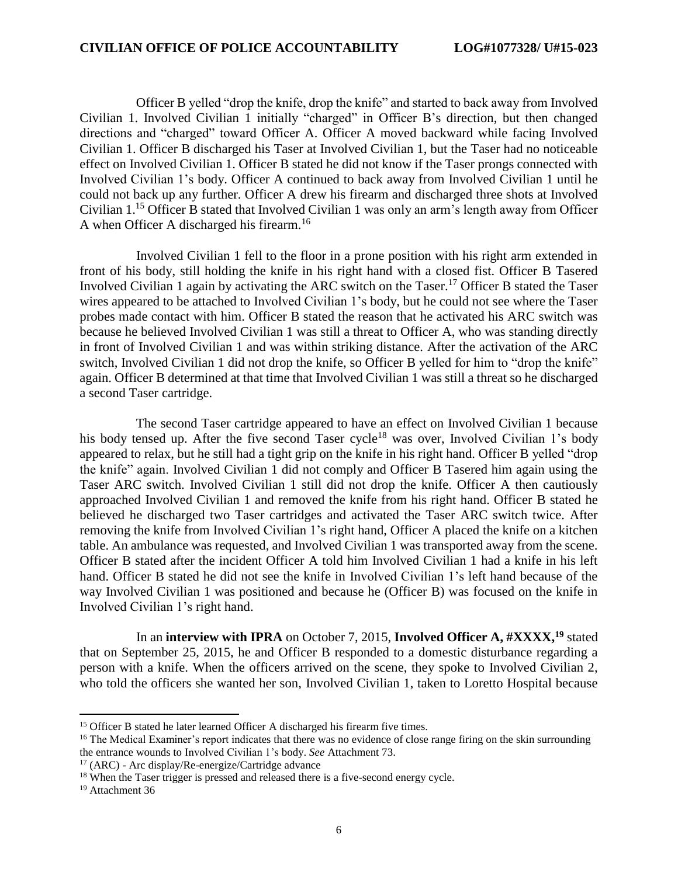Officer B yelled "drop the knife, drop the knife" and started to back away from Involved Civilian 1. Involved Civilian 1 initially "charged" in Officer B's direction, but then changed directions and "charged" toward Officer A. Officer A moved backward while facing Involved Civilian 1. Officer B discharged his Taser at Involved Civilian 1, but the Taser had no noticeable effect on Involved Civilian 1. Officer B stated he did not know if the Taser prongs connected with Involved Civilian 1's body. Officer A continued to back away from Involved Civilian 1 until he could not back up any further. Officer A drew his firearm and discharged three shots at Involved Civilian 1. <sup>15</sup> Officer B stated that Involved Civilian 1 was only an arm's length away from Officer A when Officer A discharged his firearm.<sup>16</sup>

 Involved Civilian 1 fell to the floor in a prone position with his right arm extended in front of his body, still holding the knife in his right hand with a closed fist. Officer B Tasered Involved Civilian 1 again by activating the ARC switch on the Taser.<sup>17</sup> Officer B stated the Taser wires appeared to be attached to Involved Civilian 1's body, but he could not see where the Taser probes made contact with him. Officer B stated the reason that he activated his ARC switch was because he believed Involved Civilian 1 was still a threat to Officer A, who was standing directly in front of Involved Civilian 1 and was within striking distance. After the activation of the ARC switch, Involved Civilian 1 did not drop the knife, so Officer B yelled for him to "drop the knife" again. Officer B determined at that time that Involved Civilian 1 was still a threat so he discharged a second Taser cartridge.

 The second Taser cartridge appeared to have an effect on Involved Civilian 1 because his body tensed up. After the five second Taser cycle<sup>18</sup> was over, Involved Civilian 1's body appeared to relax, but he still had a tight grip on the knife in his right hand. Officer B yelled "drop the knife" again. Involved Civilian 1 did not comply and Officer B Tasered him again using the Taser ARC switch. Involved Civilian 1 still did not drop the knife. Officer A then cautiously approached Involved Civilian 1 and removed the knife from his right hand. Officer B stated he believed he discharged two Taser cartridges and activated the Taser ARC switch twice. After removing the knife from Involved Civilian 1's right hand, Officer A placed the knife on a kitchen table. An ambulance was requested, and Involved Civilian 1 was transported away from the scene. Officer B stated after the incident Officer A told him Involved Civilian 1 had a knife in his left hand. Officer B stated he did not see the knife in Involved Civilian 1's left hand because of the way Involved Civilian 1 was positioned and because he (Officer B) was focused on the knife in Involved Civilian 1's right hand.

In an **interview with IPRA** on October 7, 2015, **Involved Officer A, #XXXX**,<sup>19</sup> stated that on September 25, 2015, he and Officer B responded to a domestic disturbance regarding a person with a knife. When the officers arrived on the scene, they spoke to Involved Civilian 2, who told the officers she wanted her son, Involved Civilian 1, taken to Loretto Hospital because

 $17$  (ARC) - Arc display/Re-energize/Cartridge advance

<sup>&</sup>lt;sup>15</sup> Officer B stated he later learned Officer A discharged his firearm five times.

<sup>&</sup>lt;sup>16</sup> The Medical Examiner's report indicates that there was no evidence of close range firing on the skin surrounding the entrance wounds to Involved Civilian 1's body. *See* Attachment 73.

<sup>&</sup>lt;sup>18</sup> When the Taser trigger is pressed and released there is a five-second energy cycle.

<sup>&</sup>lt;sup>19</sup> Attachment 36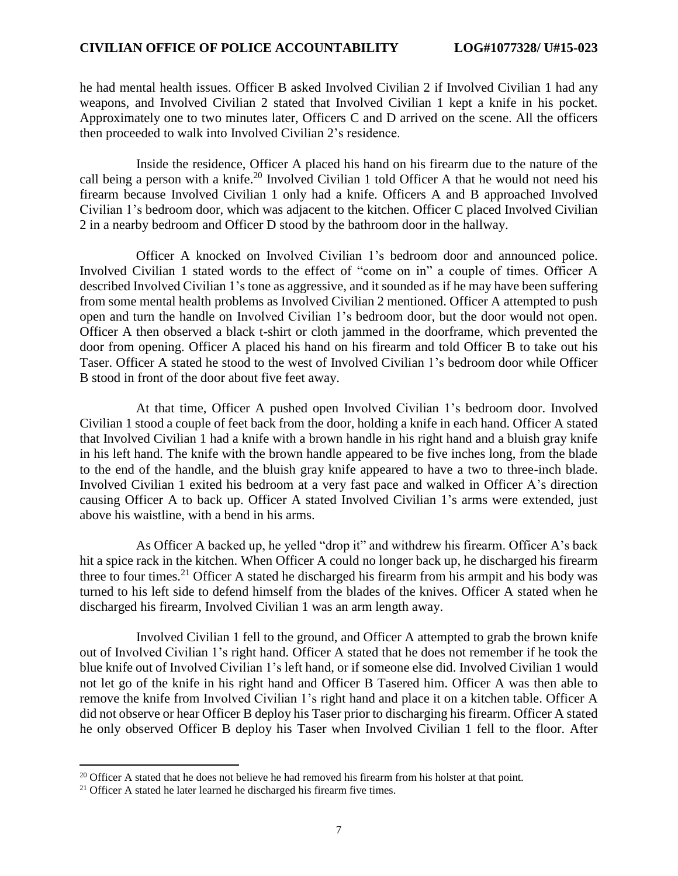he had mental health issues. Officer B asked Involved Civilian 2 if Involved Civilian 1 had any weapons, and Involved Civilian 2 stated that Involved Civilian 1 kept a knife in his pocket. Approximately one to two minutes later, Officers C and D arrived on the scene. All the officers then proceeded to walk into Involved Civilian 2's residence.

 Inside the residence, Officer A placed his hand on his firearm due to the nature of the call being a person with a knife.<sup>20</sup> Involved Civilian 1 told Officer A that he would not need his firearm because Involved Civilian 1 only had a knife. Officers A and B approached Involved Civilian 1's bedroom door, which was adjacent to the kitchen. Officer C placed Involved Civilian 2 in a nearby bedroom and Officer D stood by the bathroom door in the hallway.

 Officer A knocked on Involved Civilian 1's bedroom door and announced police. Involved Civilian 1 stated words to the effect of "come on in" a couple of times. Officer A described Involved Civilian 1's tone as aggressive, and it sounded as if he may have been suffering from some mental health problems as Involved Civilian 2 mentioned. Officer A attempted to push open and turn the handle on Involved Civilian 1's bedroom door, but the door would not open. Officer A then observed a black t-shirt or cloth jammed in the doorframe, which prevented the door from opening. Officer A placed his hand on his firearm and told Officer B to take out his Taser. Officer A stated he stood to the west of Involved Civilian 1's bedroom door while Officer B stood in front of the door about five feet away.

 At that time, Officer A pushed open Involved Civilian 1's bedroom door. Involved Civilian 1 stood a couple of feet back from the door, holding a knife in each hand. Officer A stated that Involved Civilian 1 had a knife with a brown handle in his right hand and a bluish gray knife in his left hand. The knife with the brown handle appeared to be five inches long, from the blade to the end of the handle, and the bluish gray knife appeared to have a two to three-inch blade. Involved Civilian 1 exited his bedroom at a very fast pace and walked in Officer A's direction causing Officer A to back up. Officer A stated Involved Civilian 1's arms were extended, just above his waistline, with a bend in his arms.

 As Officer A backed up, he yelled "drop it" and withdrew his firearm. Officer A's back hit a spice rack in the kitchen. When Officer A could no longer back up, he discharged his firearm three to four times.<sup>21</sup> Officer A stated he discharged his firearm from his armpit and his body was turned to his left side to defend himself from the blades of the knives. Officer A stated when he discharged his firearm, Involved Civilian 1 was an arm length away.

 Involved Civilian 1 fell to the ground, and Officer A attempted to grab the brown knife out of Involved Civilian 1's right hand. Officer A stated that he does not remember if he took the blue knife out of Involved Civilian 1's left hand, or if someone else did. Involved Civilian 1 would not let go of the knife in his right hand and Officer B Tasered him. Officer A was then able to remove the knife from Involved Civilian 1's right hand and place it on a kitchen table. Officer A did not observe or hear Officer B deploy his Taser prior to discharging his firearm. Officer A stated he only observed Officer B deploy his Taser when Involved Civilian 1 fell to the floor. After

<sup>&</sup>lt;sup>20</sup> Officer A stated that he does not believe he had removed his firearm from his holster at that point.

 $21$  Officer A stated he later learned he discharged his firearm five times.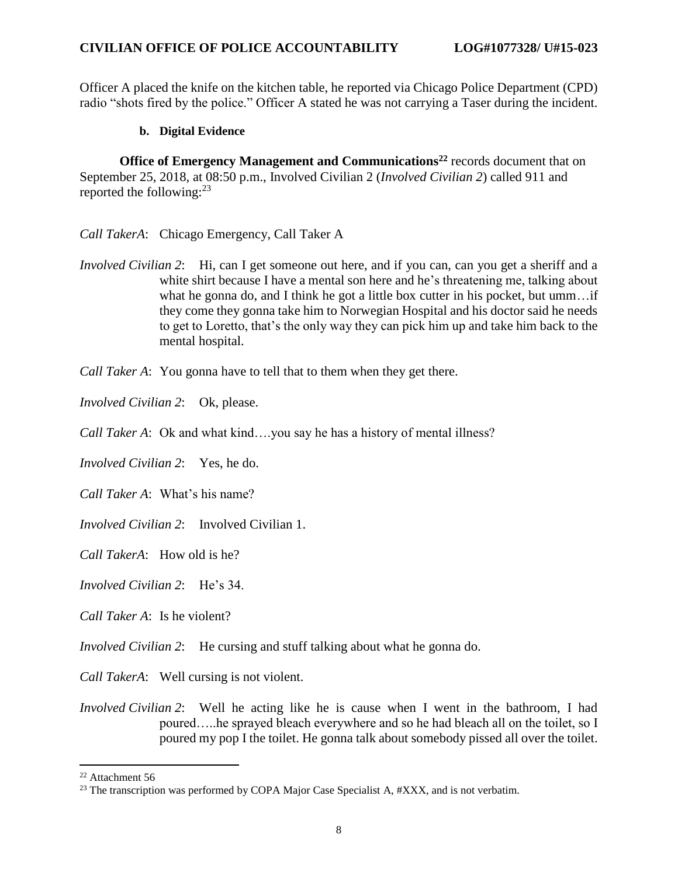Officer A placed the knife on the kitchen table, he reported via Chicago Police Department (CPD) radio "shots fired by the police." Officer A stated he was not carrying a Taser during the incident.

#### **b. Digital Evidence**

**Office of Emergency Management and Communications<sup>22</sup>** records document that on September 25, 2018, at 08:50 p.m., Involved Civilian 2 (*Involved Civilian 2*) called 911 and reported the following: $^{23}$ 

- *Call TakerA*: Chicago Emergency, Call Taker A
- *Involved Civilian 2*: Hi, can I get someone out here, and if you can, can you get a sheriff and a white shirt because I have a mental son here and he's threatening me, talking about what he gonna do, and I think he got a little box cutter in his pocket, but umm... if they come they gonna take him to Norwegian Hospital and his doctor said he needs to get to Loretto, that's the only way they can pick him up and take him back to the mental hospital.

*Call Taker A*: You gonna have to tell that to them when they get there.

*Involved Civilian 2*: Ok, please.

*Call Taker A*: Ok and what kind....you say he has a history of mental illness?

*Involved Civilian 2*: Yes, he do.

*Call Taker A*: What's his name?

*Involved Civilian 2*: Involved Civilian 1.

*Call TakerA*: How old is he?

*Involved Civilian 2*: He's 34.

*Call Taker A*: Is he violent?

*Involved Civilian 2*: He cursing and stuff talking about what he gonna do.

*Call TakerA*: Well cursing is not violent.

*Involved Civilian 2*: Well he acting like he is cause when I went in the bathroom, I had poured…..he sprayed bleach everywhere and so he had bleach all on the toilet, so I poured my pop I the toilet. He gonna talk about somebody pissed all over the toilet.

<sup>22</sup> Attachment 56

<sup>&</sup>lt;sup>23</sup> The transcription was performed by COPA Major Case Specialist A,  $\#XXX$ , and is not verbatim.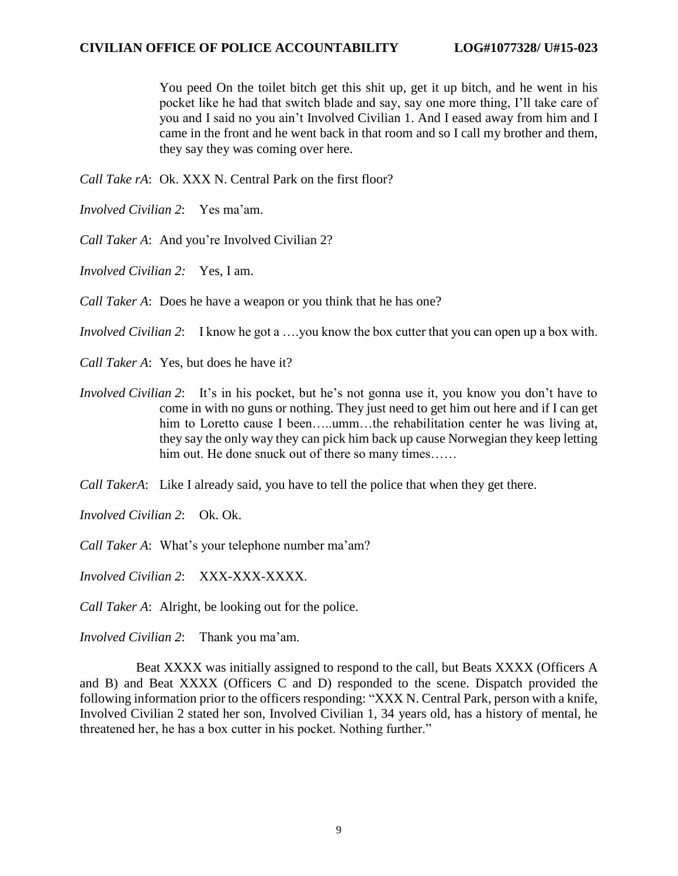You peed On the toilet bitch get this shit up, get it up bitch, and he went in his pocket like he had that switch blade and say, say one more thing, I'll take care of you and I said no you ain't Involved Civilian 1. And I eased away from him and I came in the front and he went back in that room and so I call my brother and them, they say they was coming over here.

*Call Take rA*: Ok. XXX N. Central Park on the first floor?

- *Involved Civilian 2*: Yes ma'am.
- *Call Taker A*: And you're Involved Civilian 2?
- *Involved Civilian 2:* Yes, I am.
- *Call Taker A*: Does he have a weapon or you think that he has one?

*Involved Civilian 2*: I know he got a ….you know the box cutter that you can open up a box with.

*Call Taker A*: Yes, but does he have it?

- *Involved Civilian 2*: It's in his pocket, but he's not gonna use it, you know you don't have to come in with no guns or nothing. They just need to get him out here and if I can get him to Loretto cause I been.....umm...the rehabilitation center he was living at, they say the only way they can pick him back up cause Norwegian they keep letting him out. He done snuck out of there so many times……
- *Call TakerA*: Like I already said, you have to tell the police that when they get there.

*Involved Civilian 2*: Ok. Ok.

*Call Taker A*: What's your telephone number ma'am?

*Involved Civilian 2*: XXX-XXX-XXXX.

*Call Taker A*: Alright, be looking out for the police.

*Involved Civilian 2*: Thank you ma'am.

 Beat XXXX was initially assigned to respond to the call, but Beats XXXX (Officers A and B) and Beat XXXX (Officers C and D) responded to the scene. Dispatch provided the following information prior to the officers responding: "XXX N. Central Park, person with a knife, Involved Civilian 2 stated her son, Involved Civilian 1, 34 years old, has a history of mental, he threatened her, he has a box cutter in his pocket. Nothing further."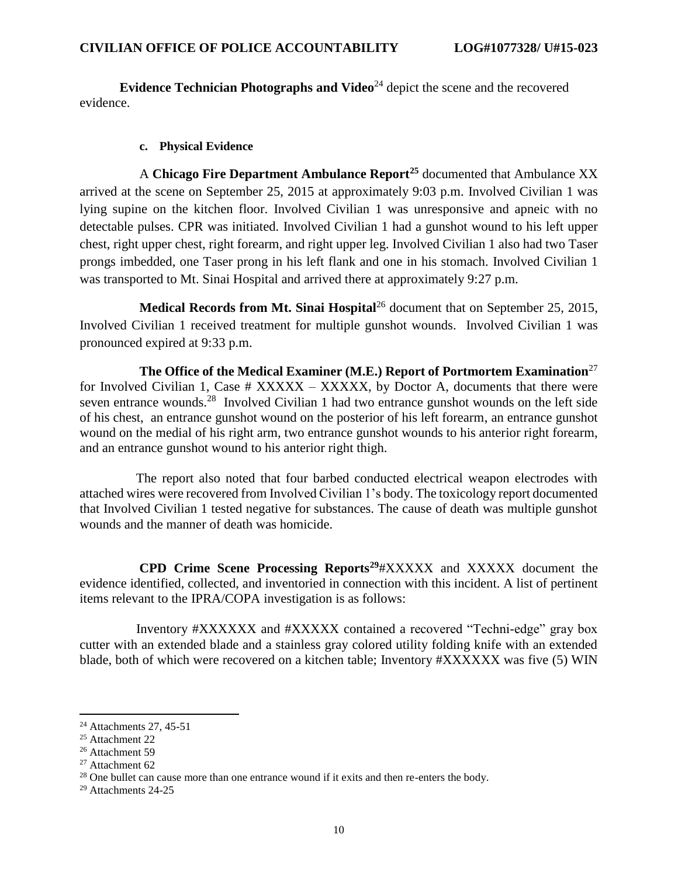**Evidence Technician Photographs and Video<sup>24</sup> depict the scene and the recovered** evidence.

#### **c. Physical Evidence**

 A **Chicago Fire Department Ambulance Report<sup>25</sup>** documented that Ambulance XX arrived at the scene on September 25, 2015 at approximately 9:03 p.m. Involved Civilian 1 was lying supine on the kitchen floor. Involved Civilian 1 was unresponsive and apneic with no detectable pulses. CPR was initiated. Involved Civilian 1 had a gunshot wound to his left upper chest, right upper chest, right forearm, and right upper leg. Involved Civilian 1 also had two Taser prongs imbedded, one Taser prong in his left flank and one in his stomach. Involved Civilian 1 was transported to Mt. Sinai Hospital and arrived there at approximately 9:27 p.m.

**Medical Records from Mt. Sinai Hospital**<sup>26</sup> document that on September 25, 2015, Involved Civilian 1 received treatment for multiple gunshot wounds. Involved Civilian 1 was pronounced expired at 9:33 p.m.

 **The Office of the Medical Examiner (M.E.) Report of Portmortem Examination**<sup>27</sup> for Involved Civilian 1, Case  $#$  XXXXX – XXXXX, by Doctor A, documents that there were seven entrance wounds.<sup>28</sup> Involved Civilian 1 had two entrance gunshot wounds on the left side of his chest, an entrance gunshot wound on the posterior of his left forearm, an entrance gunshot wound on the medial of his right arm, two entrance gunshot wounds to his anterior right forearm, and an entrance gunshot wound to his anterior right thigh.

 The report also noted that four barbed conducted electrical weapon electrodes with attached wires were recovered from Involved Civilian 1's body. The toxicology report documented that Involved Civilian 1 tested negative for substances. The cause of death was multiple gunshot wounds and the manner of death was homicide.

 **CPD Crime Scene Processing Reports<sup>29</sup>**#XXXXX and XXXXX document the evidence identified, collected, and inventoried in connection with this incident. A list of pertinent items relevant to the IPRA/COPA investigation is as follows:

 Inventory #XXXXXX and #XXXXX contained a recovered "Techni-edge" gray box cutter with an extended blade and a stainless gray colored utility folding knife with an extended blade, both of which were recovered on a kitchen table; Inventory #XXXXXX was five (5) WIN

 $24$  Attachments 27, 45-51

<sup>25</sup> Attachment 22

<sup>26</sup> Attachment 59

<sup>27</sup> Attachment 62

<sup>&</sup>lt;sup>28</sup> One bullet can cause more than one entrance wound if it exits and then re-enters the body.

<sup>29</sup> Attachments 24-25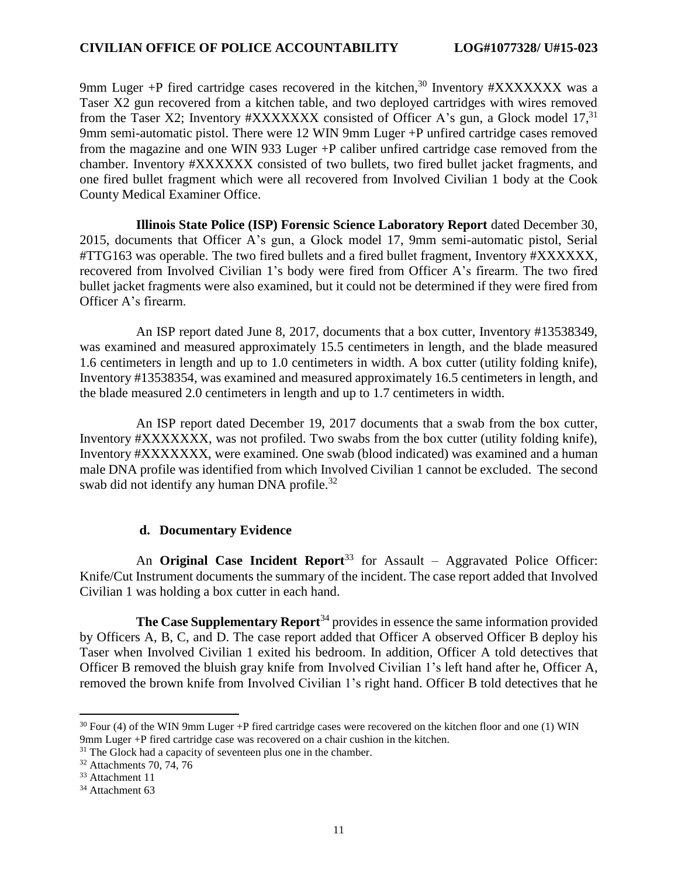9mm Luger +P fired cartridge cases recovered in the kitchen,<sup>30</sup> Inventory #XXXXXXX was a Taser X2 gun recovered from a kitchen table, and two deployed cartridges with wires removed from the Taser X2; Inventory #XXXXXXX consisted of Officer A's gun, a Glock model 17,<sup>31</sup> 9mm semi-automatic pistol. There were 12 WIN 9mm Luger +P unfired cartridge cases removed from the magazine and one WIN 933 Luger +P caliber unfired cartridge case removed from the chamber. Inventory #XXXXXX consisted of two bullets, two fired bullet jacket fragments, and one fired bullet fragment which were all recovered from Involved Civilian 1 body at the Cook County Medical Examiner Office.

 **Illinois State Police (ISP) Forensic Science Laboratory Report** dated December 30, 2015, documents that Officer A's gun, a Glock model 17, 9mm semi-automatic pistol, Serial #TTG163 was operable. The two fired bullets and a fired bullet fragment, Inventory #XXXXXX, recovered from Involved Civilian 1's body were fired from Officer A's firearm. The two fired bullet jacket fragments were also examined, but it could not be determined if they were fired from Officer A's firearm.

 An ISP report dated June 8, 2017, documents that a box cutter, Inventory #13538349, was examined and measured approximately 15.5 centimeters in length, and the blade measured 1.6 centimeters in length and up to 1.0 centimeters in width. A box cutter (utility folding knife), Inventory #13538354, was examined and measured approximately 16.5 centimeters in length, and the blade measured 2.0 centimeters in length and up to 1.7 centimeters in width.

 An ISP report dated December 19, 2017 documents that a swab from the box cutter, Inventory #XXXXXXX, was not profiled. Two swabs from the box cutter (utility folding knife), Inventory #XXXXXXX, were examined. One swab (blood indicated) was examined and a human male DNA profile was identified from which Involved Civilian 1 cannot be excluded. The second swab did not identify any human DNA profile.<sup>32</sup>

#### **d. Documentary Evidence**

An **Original Case Incident Report**<sup>33</sup> for Assault – Aggravated Police Officer: Knife/Cut Instrument documents the summary of the incident. The case report added that Involved Civilian 1 was holding a box cutter in each hand.

**The Case Supplementary Report**<sup>34</sup> provides in essence the same information provided by Officers A, B, C, and D. The case report added that Officer A observed Officer B deploy his Taser when Involved Civilian 1 exited his bedroom. In addition, Officer A told detectives that Officer B removed the bluish gray knife from Involved Civilian 1's left hand after he, Officer A, removed the brown knife from Involved Civilian 1's right hand. Officer B told detectives that he

 $30$  Four (4) of the WIN 9mm Luger +P fired cartridge cases were recovered on the kitchen floor and one (1) WIN 9mm Luger +P fired cartridge case was recovered on a chair cushion in the kitchen.

 $31$  The Glock had a capacity of seventeen plus one in the chamber.

<sup>&</sup>lt;sup>32</sup> Attachments 70, 74, 76

<sup>33</sup> Attachment 11

<sup>&</sup>lt;sup>34</sup> Attachment 63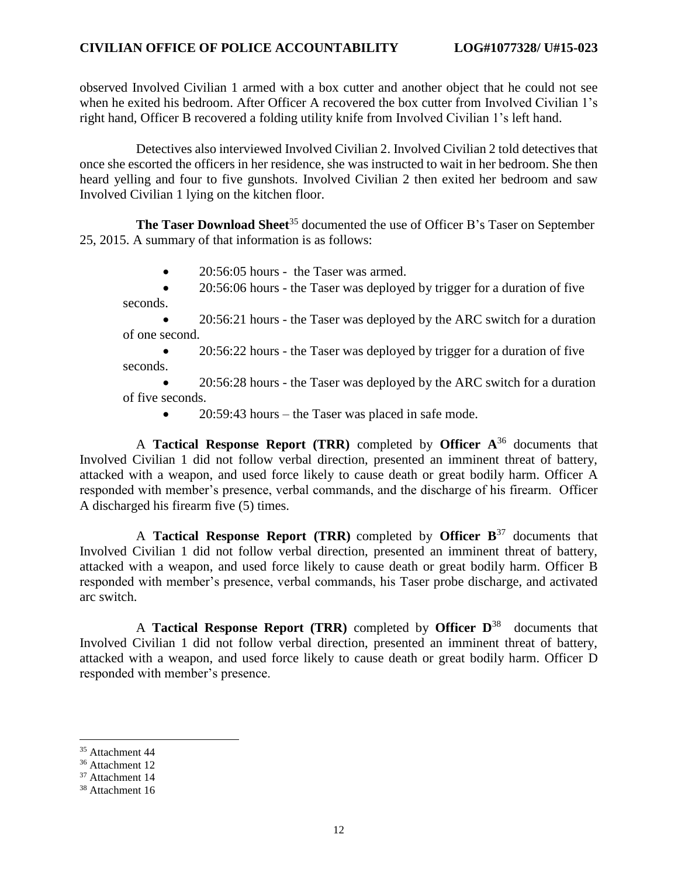#### **CIVILIAN OFFICE OF POLICE ACCOUNTABILITY LOG#1077328/ U#15-023**

observed Involved Civilian 1 armed with a box cutter and another object that he could not see when he exited his bedroom. After Officer A recovered the box cutter from Involved Civilian 1's right hand, Officer B recovered a folding utility knife from Involved Civilian 1's left hand.

 Detectives also interviewed Involved Civilian 2. Involved Civilian 2 told detectives that once she escorted the officers in her residence, she was instructed to wait in her bedroom. She then heard yelling and four to five gunshots. Involved Civilian 2 then exited her bedroom and saw Involved Civilian 1 lying on the kitchen floor.

**The Taser Download Sheet<sup>35</sup> documented the use of Officer B's Taser on September** 25, 2015. A summary of that information is as follows:

• 20:56:05 hours - the Taser was armed.

• 20:56:06 hours - the Taser was deployed by trigger for a duration of five seconds.

• 20:56:21 hours - the Taser was deployed by the ARC switch for a duration of one second.

• 20:56:22 hours - the Taser was deployed by trigger for a duration of five seconds.

• 20:56:28 hours - the Taser was deployed by the ARC switch for a duration of five seconds.

• 20:59:43 hours – the Taser was placed in safe mode.

 A **Tactical Response Report (TRR)** completed by **Officer A** <sup>36</sup> documents that Involved Civilian 1 did not follow verbal direction, presented an imminent threat of battery, attacked with a weapon, and used force likely to cause death or great bodily harm. Officer A responded with member's presence, verbal commands, and the discharge of his firearm. Officer A discharged his firearm five (5) times.

 A **Tactical Response Report (TRR)** completed by **Officer B** <sup>37</sup> documents that Involved Civilian 1 did not follow verbal direction, presented an imminent threat of battery, attacked with a weapon, and used force likely to cause death or great bodily harm. Officer B responded with member's presence, verbal commands, his Taser probe discharge, and activated arc switch.

 A **Tactical Response Report (TRR)** completed by **Officer D** 38 documents that Involved Civilian 1 did not follow verbal direction, presented an imminent threat of battery, attacked with a weapon, and used force likely to cause death or great bodily harm. Officer D responded with member's presence.

<sup>35</sup> Attachment 44

<sup>36</sup> Attachment 12

<sup>37</sup> Attachment 14

<sup>38</sup> Attachment 16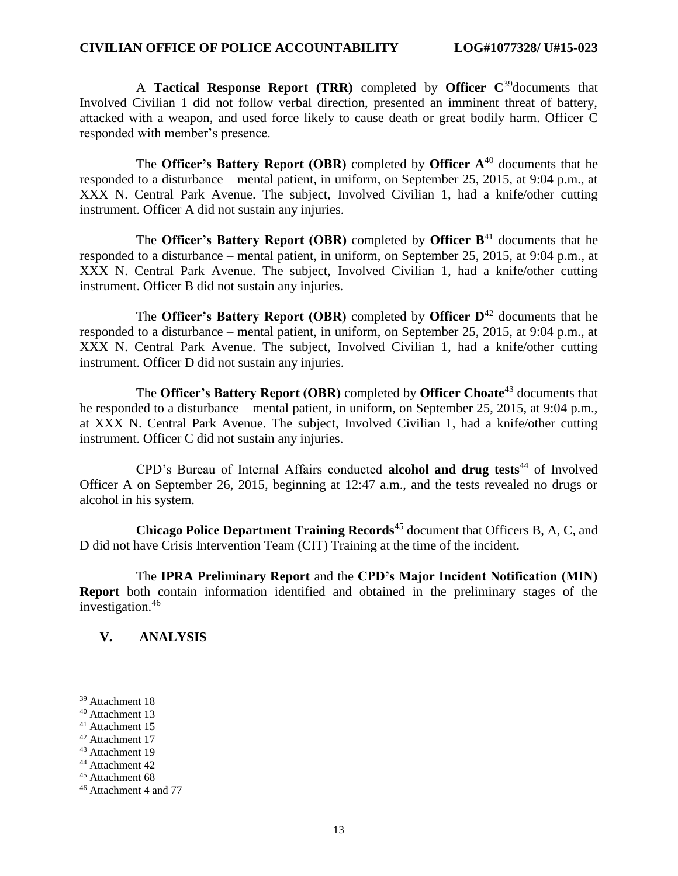A **Tactical Response Report (TRR)** completed by **Officer C** <sup>39</sup>documents that Involved Civilian 1 did not follow verbal direction, presented an imminent threat of battery, attacked with a weapon, and used force likely to cause death or great bodily harm. Officer C responded with member's presence.

 The **Officer's Battery Report (OBR)** completed by **Officer A** <sup>40</sup> documents that he responded to a disturbance – mental patient, in uniform, on September 25, 2015, at 9:04 p.m., at XXX N. Central Park Avenue. The subject, Involved Civilian 1, had a knife/other cutting instrument. Officer A did not sustain any injuries.

 The **Officer's Battery Report (OBR)** completed by **Officer B** <sup>41</sup> documents that he responded to a disturbance – mental patient, in uniform, on September 25, 2015, at 9:04 p.m., at XXX N. Central Park Avenue. The subject, Involved Civilian 1, had a knife/other cutting instrument. Officer B did not sustain any injuries.

 The **Officer's Battery Report (OBR)** completed by **Officer D** <sup>42</sup> documents that he responded to a disturbance – mental patient, in uniform, on September 25, 2015, at 9:04 p.m., at XXX N. Central Park Avenue. The subject, Involved Civilian 1, had a knife/other cutting instrument. Officer D did not sustain any injuries.

 The **Officer's Battery Report (OBR)** completed by **Officer Choate**<sup>43</sup> documents that he responded to a disturbance – mental patient, in uniform, on September 25, 2015, at 9:04 p.m., at XXX N. Central Park Avenue. The subject, Involved Civilian 1, had a knife/other cutting instrument. Officer C did not sustain any injuries.

CPD's Bureau of Internal Affairs conducted **alcohol and drug tests** <sup>44</sup> of Involved Officer A on September 26, 2015, beginning at 12:47 a.m., and the tests revealed no drugs or alcohol in his system.

 **Chicago Police Department Training Records**<sup>45</sup> document that Officers B, A, C, and D did not have Crisis Intervention Team (CIT) Training at the time of the incident.

 The **IPRA Preliminary Report** and the **CPD's Major Incident Notification (MIN) Report** both contain information identified and obtained in the preliminary stages of the investigation.<sup>46</sup>

## **V. ANALYSIS**

<sup>39</sup> Attachment 18

<sup>40</sup> Attachment 13

<sup>41</sup> Attachment 15

<sup>42</sup> Attachment 17

<sup>43</sup> Attachment 19

<sup>44</sup> Attachment 42

<sup>45</sup> Attachment 68

<sup>46</sup> Attachment 4 and 77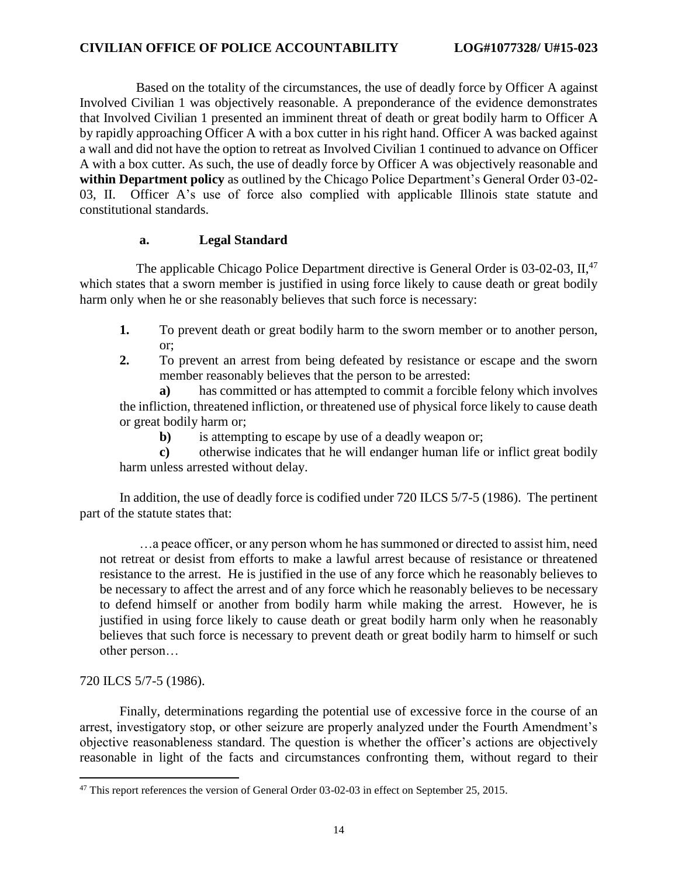Based on the totality of the circumstances, the use of deadly force by Officer A against Involved Civilian 1 was objectively reasonable. A preponderance of the evidence demonstrates that Involved Civilian 1 presented an imminent threat of death or great bodily harm to Officer A by rapidly approaching Officer A with a box cutter in his right hand. Officer A was backed against a wall and did not have the option to retreat as Involved Civilian 1 continued to advance on Officer A with a box cutter. As such, the use of deadly force by Officer A was objectively reasonable and **within Department policy** as outlined by the Chicago Police Department's General Order 03-02- 03, II. Officer A's use of force also complied with applicable Illinois state statute and constitutional standards.

### **a. Legal Standard**

The applicable Chicago Police Department directive is General Order is 03-02-03, II,<sup>47</sup> which states that a sworn member is justified in using force likely to cause death or great bodily harm only when he or she reasonably believes that such force is necessary:

- **1.** To prevent death or great bodily harm to the sworn member or to another person, or;
- **2.** To prevent an arrest from being defeated by resistance or escape and the sworn member reasonably believes that the person to be arrested:

**a)** has committed or has attempted to commit a forcible felony which involves the infliction, threatened infliction, or threatened use of physical force likely to cause death or great bodily harm or;

**b**) is attempting to escape by use of a deadly weapon or;

**c)** otherwise indicates that he will endanger human life or inflict great bodily harm unless arrested without delay.

In addition, the use of deadly force is codified under 720 ILCS 5/7-5 (1986). The pertinent part of the statute states that:

…a peace officer, or any person whom he has summoned or directed to assist him, need not retreat or desist from efforts to make a lawful arrest because of resistance or threatened resistance to the arrest. He is justified in the use of any force which he reasonably believes to be necessary to affect the arrest and of any force which he reasonably believes to be necessary to defend himself or another from bodily harm while making the arrest. However, he is justified in using force likely to cause death or great bodily harm only when he reasonably believes that such force is necessary to prevent death or great bodily harm to himself or such other person…

## 720 ILCS 5/7-5 (1986).

 $\overline{\phantom{a}}$ 

Finally, determinations regarding the potential use of excessive force in the course of an arrest, investigatory stop, or other seizure are properly analyzed under the Fourth Amendment's objective reasonableness standard. The question is whether the officer's actions are objectively reasonable in light of the facts and circumstances confronting them, without regard to their

 $^{47}$  This report references the version of General Order 03-02-03 in effect on September 25, 2015.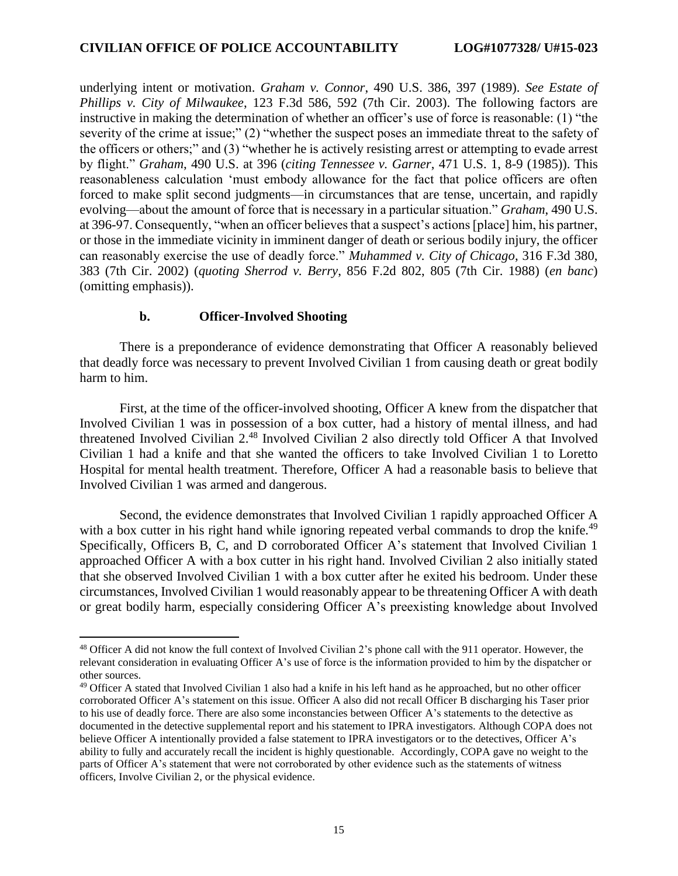underlying intent or motivation. *Graham v. Connor*, 490 U.S. 386, 397 (1989). *See Estate of Phillips v. City of Milwaukee*, 123 F.3d 586, 592 (7th Cir. 2003). The following factors are instructive in making the determination of whether an officer's use of force is reasonable: (1) "the severity of the crime at issue;" (2) "whether the suspect poses an immediate threat to the safety of the officers or others;" and (3) "whether he is actively resisting arrest or attempting to evade arrest by flight." *Graham*, 490 U.S. at 396 (*citing Tennessee v. Garner*, 471 U.S. 1, 8-9 (1985)). This reasonableness calculation 'must embody allowance for the fact that police officers are often forced to make split second judgments—in circumstances that are tense, uncertain, and rapidly evolving—about the amount of force that is necessary in a particular situation." *Graham*, 490 U.S. at 396-97. Consequently, "when an officer believes that a suspect's actions [place] him, his partner, or those in the immediate vicinity in imminent danger of death or serious bodily injury, the officer can reasonably exercise the use of deadly force." *Muhammed v. City of Chicago*, 316 F.3d 380, 383 (7th Cir. 2002) (*quoting Sherrod v. Berry*, 856 F.2d 802, 805 (7th Cir. 1988) (*en banc*) (omitting emphasis)).

#### **b. Officer-Involved Shooting**

 $\overline{\phantom{a}}$ 

There is a preponderance of evidence demonstrating that Officer A reasonably believed that deadly force was necessary to prevent Involved Civilian 1 from causing death or great bodily harm to him.

First, at the time of the officer-involved shooting, Officer A knew from the dispatcher that Involved Civilian 1 was in possession of a box cutter, had a history of mental illness, and had threatened Involved Civilian 2. <sup>48</sup> Involved Civilian 2 also directly told Officer A that Involved Civilian 1 had a knife and that she wanted the officers to take Involved Civilian 1 to Loretto Hospital for mental health treatment. Therefore, Officer A had a reasonable basis to believe that Involved Civilian 1 was armed and dangerous.

Second, the evidence demonstrates that Involved Civilian 1 rapidly approached Officer A with a box cutter in his right hand while ignoring repeated verbal commands to drop the knife.<sup>49</sup> Specifically, Officers B, C, and D corroborated Officer A's statement that Involved Civilian 1 approached Officer A with a box cutter in his right hand. Involved Civilian 2 also initially stated that she observed Involved Civilian 1 with a box cutter after he exited his bedroom. Under these circumstances, Involved Civilian 1 would reasonably appear to be threatening Officer A with death or great bodily harm, especially considering Officer A's preexisting knowledge about Involved

<sup>48</sup> Officer A did not know the full context of Involved Civilian 2's phone call with the 911 operator. However, the relevant consideration in evaluating Officer A's use of force is the information provided to him by the dispatcher or other sources.

<sup>&</sup>lt;sup>49</sup> Officer A stated that Involved Civilian 1 also had a knife in his left hand as he approached, but no other officer corroborated Officer A's statement on this issue. Officer A also did not recall Officer B discharging his Taser prior to his use of deadly force. There are also some inconstancies between Officer A's statements to the detective as documented in the detective supplemental report and his statement to IPRA investigators. Although COPA does not believe Officer A intentionally provided a false statement to IPRA investigators or to the detectives, Officer A's ability to fully and accurately recall the incident is highly questionable. Accordingly, COPA gave no weight to the parts of Officer A's statement that were not corroborated by other evidence such as the statements of witness officers, Involve Civilian 2, or the physical evidence.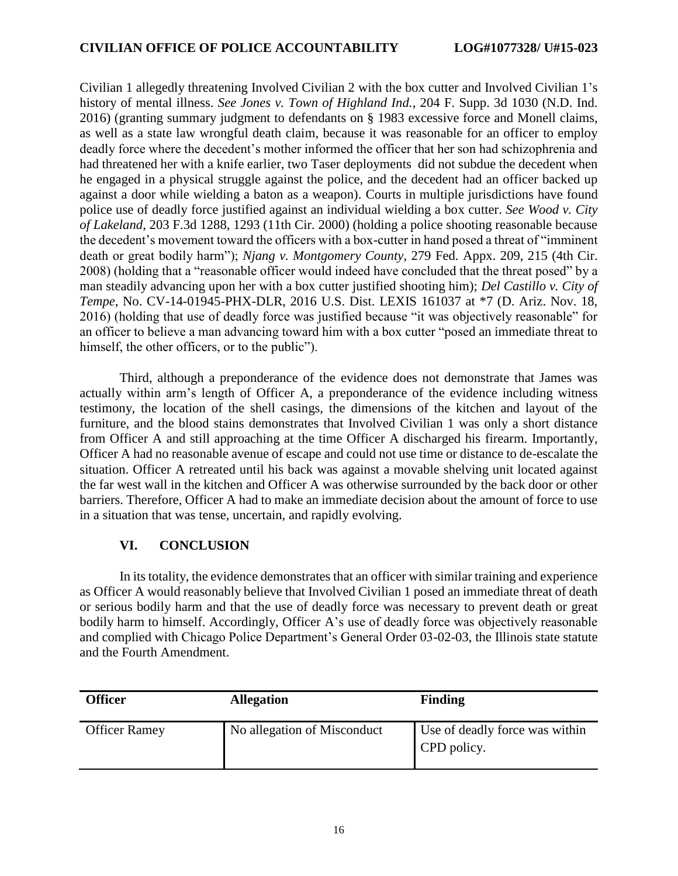Civilian 1 allegedly threatening Involved Civilian 2 with the box cutter and Involved Civilian 1's history of mental illness. *See Jones v. Town of Highland Ind.*, 204 F. Supp. 3d 1030 (N.D. Ind. 2016) (granting summary judgment to defendants on § 1983 excessive force and Monell claims, as well as a state law wrongful death claim, because it was reasonable for an officer to employ deadly force where the decedent's mother informed the officer that her son had schizophrenia and had threatened her with a knife earlier, two Taser deployments did not subdue the decedent when he engaged in a physical struggle against the police, and the decedent had an officer backed up against a door while wielding a baton as a weapon). Courts in multiple jurisdictions have found police use of deadly force justified against an individual wielding a box cutter. *See Wood v. City of Lakeland*, 203 F.3d 1288, 1293 (11th Cir. 2000) (holding a police shooting reasonable because the decedent's movement toward the officers with a box-cutter in hand posed a threat of "imminent death or great bodily harm"); *Njang v. Montgomery County*, 279 Fed. Appx. 209, 215 (4th Cir. 2008) (holding that a "reasonable officer would indeed have concluded that the threat posed" by a man steadily advancing upon her with a box cutter justified shooting him); *Del Castillo v. City of Tempe*, No. CV-14-01945-PHX-DLR, 2016 U.S. Dist. LEXIS 161037 at \*7 (D. Ariz. Nov. 18, 2016) (holding that use of deadly force was justified because "it was objectively reasonable" for an officer to believe a man advancing toward him with a box cutter "posed an immediate threat to himself, the other officers, or to the public").

Third, although a preponderance of the evidence does not demonstrate that James was actually within arm's length of Officer A, a preponderance of the evidence including witness testimony, the location of the shell casings, the dimensions of the kitchen and layout of the furniture, and the blood stains demonstrates that Involved Civilian 1 was only a short distance from Officer A and still approaching at the time Officer A discharged his firearm. Importantly, Officer A had no reasonable avenue of escape and could not use time or distance to de-escalate the situation. Officer A retreated until his back was against a movable shelving unit located against the far west wall in the kitchen and Officer A was otherwise surrounded by the back door or other barriers. Therefore, Officer A had to make an immediate decision about the amount of force to use in a situation that was tense, uncertain, and rapidly evolving.

## **VI. CONCLUSION**

In its totality, the evidence demonstrates that an officer with similar training and experience as Officer A would reasonably believe that Involved Civilian 1 posed an immediate threat of death or serious bodily harm and that the use of deadly force was necessary to prevent death or great bodily harm to himself. Accordingly, Officer A's use of deadly force was objectively reasonable and complied with Chicago Police Department's General Order 03-02-03, the Illinois state statute and the Fourth Amendment.

| <b>Officer</b>       | <b>Allegation</b>           | <b>Finding</b>                                |
|----------------------|-----------------------------|-----------------------------------------------|
| <b>Officer Ramey</b> | No allegation of Misconduct | Use of deadly force was within<br>CPD policy. |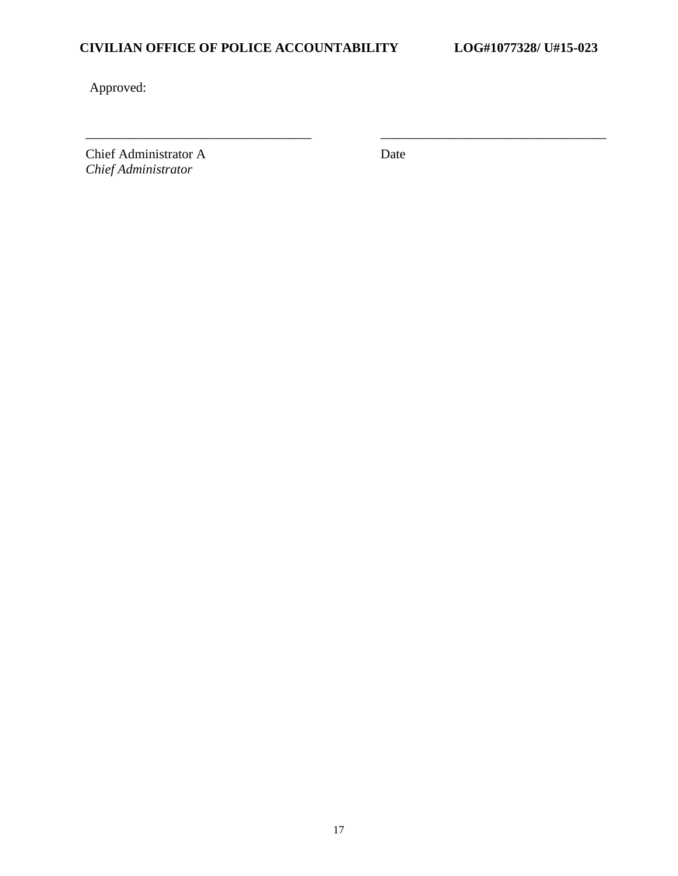# **CIVILIAN OFFICE OF POLICE ACCOUNTABILITY LOG#1077328/ U#15-023**

Approved:

Chief Administrator A *Chief Administrator*

Date

\_\_\_\_\_\_\_\_\_\_\_\_\_\_\_\_\_\_\_\_\_\_\_\_\_\_\_\_\_\_\_\_\_\_ \_\_\_\_\_\_\_\_\_\_\_\_\_\_\_\_\_\_\_\_\_\_\_\_\_\_\_\_\_\_\_\_\_\_